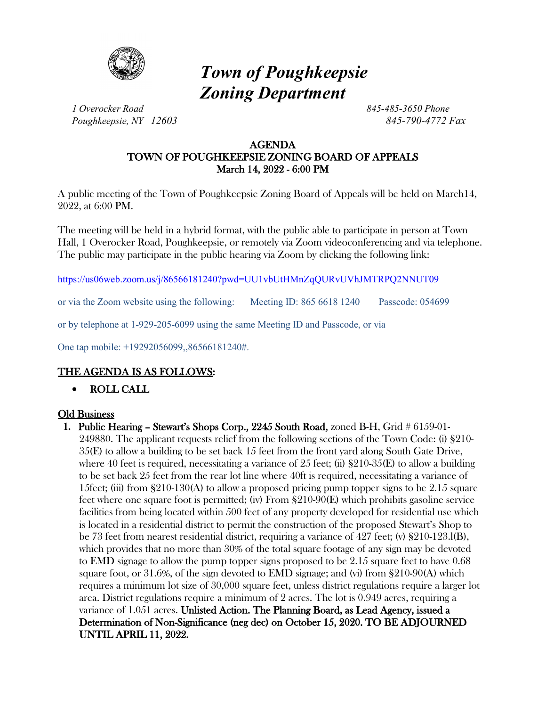

# *Town of Poughkeepsie Zoning Department*

*1 Overocker Road 845-485-3650 Phone Poughkeepsie, NY 12603 845-790-4772 Fax*

#### AGENDA TOWN OF POUGHKEEPSIE ZONING BOARD OF APPEALS March 14, 2022 - 6:00 PM

A public meeting of the Town of Poughkeepsie Zoning Board of Appeals will be held on March14, 2022, at 6:00 PM.

The meeting will be held in a hybrid format, with the public able to participate in person at Town Hall, 1 Overocker Road, Poughkeepsie, or remotely via Zoom videoconferencing and via telephone. The public may participate in the public hearing via Zoom by clicking the following link:

<https://us06web.zoom.us/j/86566181240?pwd=UU1vbUtHMnZqQURvUVhJMTRPQ2NNUT09>

or via the Zoom website using the following: Meeting ID: 865 6618 1240 Passcode: 054699

or by telephone at 1-929-205-6099 using the same Meeting ID and Passcode, or via

One tap mobile: +19292056099,,86566181240#.

## THE AGENDA IS AS FOLLOWS:

• ROLL CALL

### Old Business

**1.** Public Hearing – Stewart's Shops Corp., 2245 South Road, zoned B-H, Grid # 6159-01- 249880. The applicant requests relief from the following sections of the Town Code: (i) §210- 35(E) to allow a building to be set back 15 feet from the front yard along South Gate Drive, where 40 feet is required, necessitating a variance of 25 feet; (ii)  $\S210-35(E)$  to allow a building to be set back 25 feet from the rear lot line where 40ft is required, necessitating a variance of 15feet; (iii) from  $\S 210-130(A)$  to allow a proposed pricing pump topper signs to be 2.15 square feet where one square foot is permitted; (iv) From §210-90(E) which prohibits gasoline service facilities from being located within 500 feet of any property developed for residential use which is located in a residential district to permit the construction of the proposed Stewart's Shop to be 73 feet from nearest residential district, requiring a variance of 427 feet; (v) §210-123.l(B), which provides that no more than 30% of the total square footage of any sign may be devoted to EMD signage to allow the pump topper signs proposed to be 2.15 square feet to have 0.68 square foot, or 31.6%, of the sign devoted to EMD signage; and (vi) from §210-90(A) which requires a minimum lot size of 30,000 square feet, unless district regulations require a larger lot area. District regulations require a minimum of 2 acres. The lot is 0.949 acres, requiring a variance of 1.051 acres. Unlisted Action. The Planning Board, as Lead Agency, issued a Determination of Non-Significance (neg dec) on October 15, 2020. TO BE ADJOURNED UNTIL APRIL 11, 2022.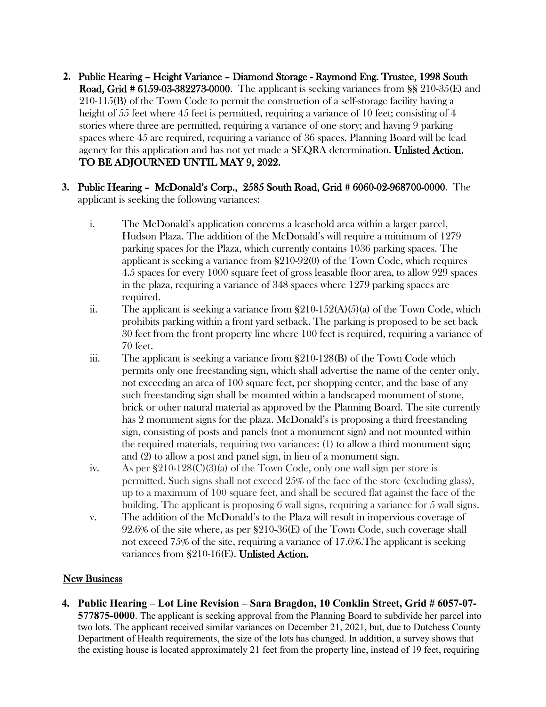- **2.** Public Hearing Height Variance Diamond Storage Raymond Eng. Trustee, 1998 South Road, Grid # 6159-03-382273-0000. The applicant is seeking variances from §§ 210-35(E) and 210-115(B) of the Town Code to permit the construction of a self-storage facility having a height of 55 feet where 45 feet is permitted, requiring a variance of 10 feet; consisting of 4 stories where three are permitted, requiring a variance of one story; and having 9 parking spaces where 45 are required, requiring a variance of 36 spaces. Planning Board will be lead agency for this application and has not yet made a SEQRA determination. Unlisted Action. TO BE ADJOURNED UNTIL MAY 9, 2022.
- **3.** Public Hearing McDonald's Corp., 2585 South Road, Grid # 6060-02-968700-0000. The applicant is seeking the following variances:
	- i. The McDonald's application concerns a leasehold area within a larger parcel, Hudson Plaza. The addition of the McDonald's will require a minimum of 1279 parking spaces for the Plaza, which currently contains 1036 parking spaces. The applicant is seeking a variance from §210-92(0) of the Town Code, which requires 4.5 spaces for every 1000 square feet of gross leasable floor area, to allow 929 spaces in the plaza, requiring a variance of 348 spaces where 1279 parking spaces are required.
	- ii. The applicant is seeking a variance from  $\S210-152(A)(5)(a)$  of the Town Code, which prohibits parking within a front yard setback. The parking is proposed to be set back 30 feet from the front property line where 100 feet is required, requiring a variance of 70 feet.
	- iii. The applicant is seeking a variance from §210-128(B) of the Town Code which permits only one freestanding sign, which shall advertise the name of the center only, not exceeding an area of 100 square feet, per shopping center, and the base of any such freestanding sign shall be mounted within a landscaped monument of stone, brick or other natural material as approved by the Planning Board. The site currently has 2 monument signs for the plaza. McDonald's is proposing a third freestanding sign, consisting of posts and panels (not a monument sign) and not mounted within the required materials, requiring two variances: (1) to allow a third monument sign; and (2) to allow a post and panel sign, in lieu of a monument sign.
	- iv. As per  $$210-128(C)(3)$  of the Town Code, only one wall sign per store is permitted. Such signs shall not exceed 25% of the face of the store (excluding glass), up to a maximum of 100 square feet, and shall be secured flat against the face of the building. The applicant is proposing 6 wall signs, requiring a variance for 5 wall signs.
	- v. The addition of the McDonald's to the Plaza will result in impervious coverage of 92.6% of the site where, as per §210-36(E) of the Town Code, such coverage shall not exceed 75% of the site, requiring a variance of 17.6%.The applicant is seeking variances from §210-16(E). Unlisted Action.

### **New Business**

**4. Public Hearing – Lot Line Revision – Sara Bragdon, 10 Conklin Street, Grid # 6057-07- 577875-0000**. The applicant is seeking approval from the Planning Board to subdivide her parcel into two lots. The applicant received similar variances on December 21, 2021, but, due to Dutchess County Department of Health requirements, the size of the lots has changed. In addition, a survey shows that the existing house is located approximately 21 feet from the property line, instead of 19 feet, requiring